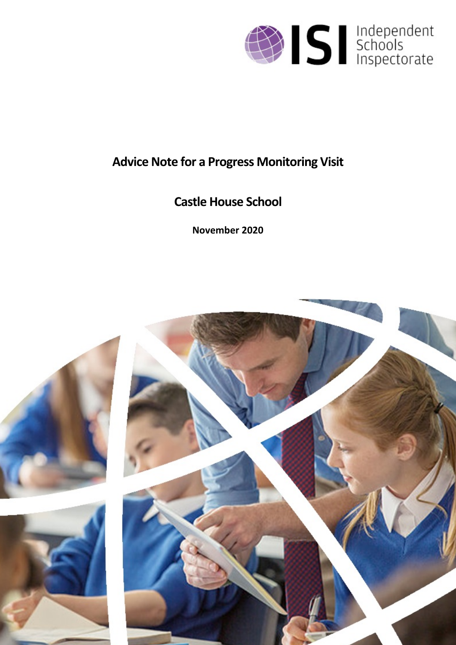

# **Advice Note for a Progress Monitoring Visit**

# **Castle House School**

**November 2020**

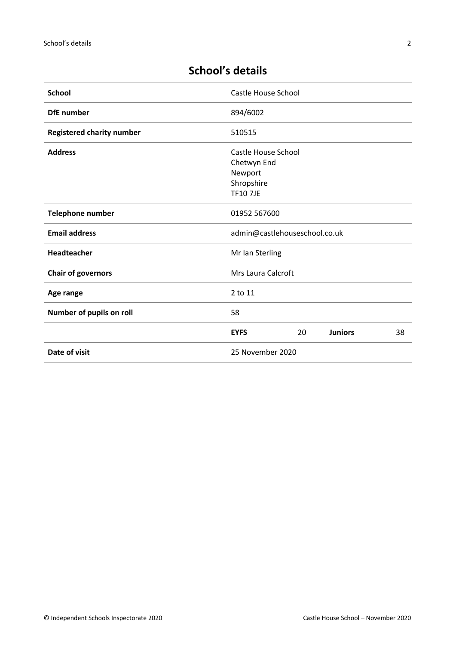| <b>School</b>                    | Castle House School                                                           |    |                |    |
|----------------------------------|-------------------------------------------------------------------------------|----|----------------|----|
| <b>DfE</b> number                | 894/6002                                                                      |    |                |    |
| <b>Registered charity number</b> | 510515                                                                        |    |                |    |
| <b>Address</b>                   | Castle House School<br>Chetwyn End<br>Newport<br>Shropshire<br><b>TF107JE</b> |    |                |    |
| <b>Telephone number</b>          | 01952 567600                                                                  |    |                |    |
| <b>Email address</b>             | admin@castlehouseschool.co.uk                                                 |    |                |    |
| Headteacher                      | Mr Ian Sterling                                                               |    |                |    |
| <b>Chair of governors</b>        | Mrs Laura Calcroft                                                            |    |                |    |
| Age range                        | 2 to 11                                                                       |    |                |    |
| Number of pupils on roll         | 58                                                                            |    |                |    |
|                                  | <b>EYFS</b>                                                                   | 20 | <b>Juniors</b> | 38 |
| Date of visit                    | 25 November 2020                                                              |    |                |    |

## **School's details**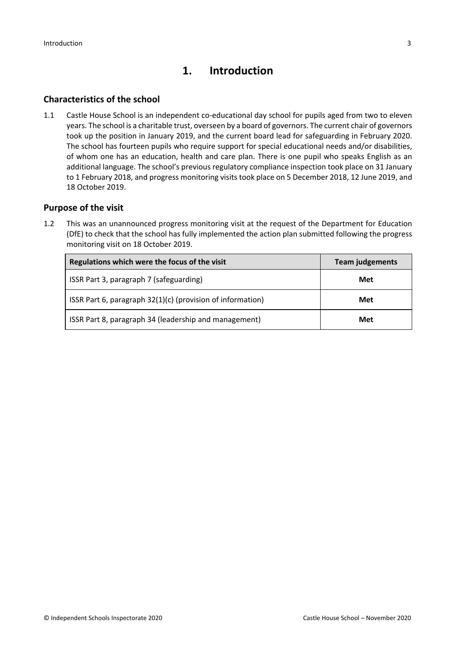## **1. Introduction**

#### **Characteristics of the school**

1.1 Castle House School is an independent co-educational day school for pupils aged from two to eleven years. The school is a charitable trust, overseen by a board of governors. The current chair of governors took up the position in January 2019, and the current board lead for safeguarding in February 2020. The school has fourteen pupils who require support for special educational needs and/or disabilities, of whom one has an education, health and care plan. There is one pupil who speaks English as an additional language. The school's previous regulatory compliance inspection took place on 31 January to 1 February 2018, and progress monitoring visits took place on 5 December 2018, 12 June 2019, and 18 October 2019.

#### **Purpose of the visit**

1.2 This was an unannounced progress monitoring visit at the request of the Department for Education (DfE) to check that the school has fully implemented the action plan submitted following the progress monitoring visit on 18 October 2019.

| Regulations which were the focus of the visit              | <b>Team judgements</b> |  |
|------------------------------------------------------------|------------------------|--|
| ISSR Part 3, paragraph 7 (safeguarding)                    | Met                    |  |
| ISSR Part 6, paragraph 32(1)(c) (provision of information) | Met                    |  |
| ISSR Part 8, paragraph 34 (leadership and management)      | Met                    |  |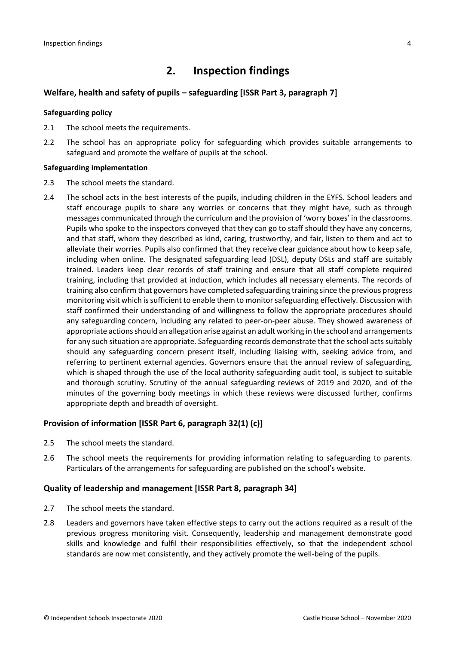## **2. Inspection findings**

#### **Welfare, health and safety of pupils – safeguarding [ISSR Part 3, paragraph 7]**

#### **Safeguarding policy**

- 2.1 The school meets the requirements.
- 2.2 The school has an appropriate policy for safeguarding which provides suitable arrangements to safeguard and promote the welfare of pupils at the school.

#### **Safeguarding implementation**

- 2.3 The school meets the standard.
- 2.4 The school acts in the best interests of the pupils, including children in the EYFS. School leaders and staff encourage pupils to share any worries or concerns that they might have, such as through messages communicated through the curriculum and the provision of 'worry boxes' in the classrooms. Pupils who spoke to the inspectors conveyed that they can go to staff should they have any concerns, and that staff, whom they described as kind, caring, trustworthy, and fair, listen to them and act to alleviate their worries. Pupils also confirmed that they receive clear guidance about how to keep safe, including when online. The designated safeguarding lead (DSL), deputy DSLs and staff are suitably trained. Leaders keep clear records of staff training and ensure that all staff complete required training, including that provided at induction, which includes all necessary elements. The records of training also confirm that governors have completed safeguarding training since the previous progress monitoring visit which is sufficient to enable them to monitor safeguarding effectively. Discussion with staff confirmed their understanding of and willingness to follow the appropriate procedures should any safeguarding concern, including any related to peer-on-peer abuse. They showed awareness of appropriate actions should an allegation arise against an adult working in the school and arrangements for any such situation are appropriate. Safeguarding records demonstrate that the school acts suitably should any safeguarding concern present itself, including liaising with, seeking advice from, and referring to pertinent external agencies. Governors ensure that the annual review of safeguarding, which is shaped through the use of the local authority safeguarding audit tool, is subject to suitable and thorough scrutiny. Scrutiny of the annual safeguarding reviews of 2019 and 2020, and of the minutes of the governing body meetings in which these reviews were discussed further, confirms appropriate depth and breadth of oversight.

#### **Provision of information [ISSR Part 6, paragraph 32(1) (c)]**

- 2.5 The school meets the standard.
- 2.6 The school meets the requirements for providing information relating to safeguarding to parents. Particulars of the arrangements for safeguarding are published on the school's website.

#### **Quality of leadership and management [ISSR Part 8, paragraph 34]**

- 2.7 The school meets the standard.
- 2.8 Leaders and governors have taken effective steps to carry out the actions required as a result of the previous progress monitoring visit. Consequently, leadership and management demonstrate good skills and knowledge and fulfil their responsibilities effectively, so that the independent school standards are now met consistently, and they actively promote the well-being of the pupils.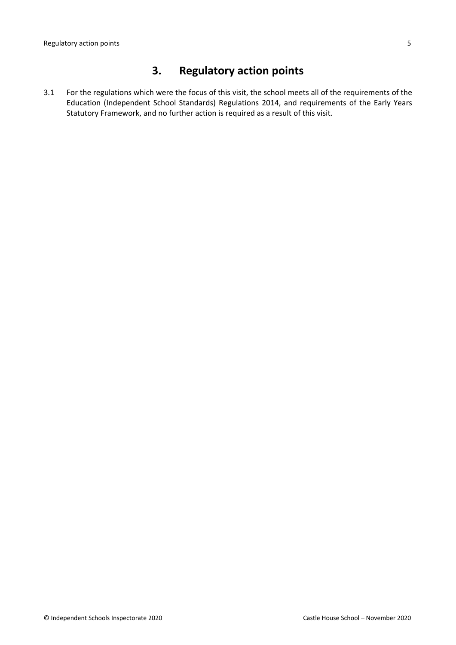## **3. Regulatory action points**

3.1 For the regulations which were the focus of this visit, the school meets all of the requirements of the Education (Independent School Standards) Regulations 2014, and requirements of the Early Years Statutory Framework, and no further action is required as a result of this visit.